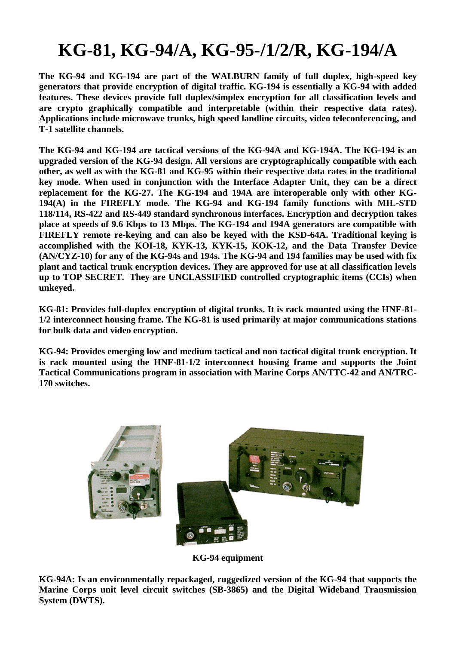## **KG-81, KG-94/A, KG-95-/1/2/R, KG-194/A**

**The KG-94 and KG-194 are part of the WALBURN family of full duplex, high-speed key generators that provide encryption of digital traffic. KG-194 is essentially a KG-94 with added features. These devices provide full duplex/simplex encryption for all classification levels and are crypto graphically compatible and interpretable (within their respective data rates). Applications include microwave trunks, high speed landline circuits, video teleconferencing, and T-1 satellite channels.**

**The KG-94 and KG-194 are tactical versions of the KG-94A and KG-194A. The KG-194 is an upgraded version of the KG-94 design. All versions are cryptographically compatible with each other, as well as with the KG-81 and KG-95 within their respective data rates in the traditional key mode. When used in conjunction with the Interface Adapter Unit, they can be a direct replacement for the KG-27. The KG-194 and 194A are interoperable only with other KG-194(A) in the FIREFLY mode. The KG-94 and KG-194 family functions with MIL-STD 118/114, RS-422 and RS-449 standard synchronous interfaces. Encryption and decryption takes place at speeds of 9.6 Kbps to 13 Mbps. The KG-194 and 194A generators are compatible with FIREFLY remote re-keying and can also be keyed with the KSD-64A. Traditional keying is accomplished with the KOI-18, KYK-13, KYK-15, KOK-12, and the Data Transfer Device (AN/CYZ-10) for any of the KG-94s and 194s. The KG-94 and 194 families may be used with fix plant and tactical trunk encryption devices. They are approved for use at all classification levels up to TOP SECRET. They are UNCLASSIFIED controlled cryptographic items (CCIs) when unkeyed.**

**KG-81: Provides full-duplex encryption of digital trunks. It is rack mounted using the HNF-81- 1/2 interconnect housing frame. The KG-81 is used primarily at major communications stations for bulk data and video encryption.**

**KG-94: Provides emerging low and medium tactical and non tactical digital trunk encryption. It is rack mounted using the HNF-81-1/2 interconnect housing frame and supports the Joint Tactical Communications program in association with Marine Corps AN/TTC-42 and AN/TRC-170 switches.**



**KG-94 equipment**

**KG-94A: Is an environmentally repackaged, ruggedized version of the KG-94 that supports the Marine Corps unit level circuit switches (SB-3865) and the Digital Wideband Transmission System (DWTS).**